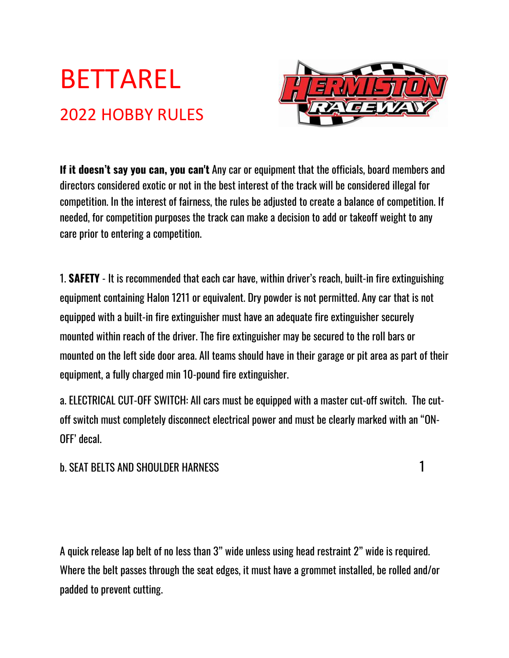# BETTAREL 2022 HOBBY RULES



**If it doesn't say you can, you can't** Any car or equipment that the officials, board members and directors considered exotic or not in the best interest of the track will be considered illegal for competition. In the interest of fairness, the rules be adjusted to create a balance of competition. If needed, for competition purposes the track can make a decision to add or takeoff weight to any care prior to entering a competition.

1. **SAFETY** - It is recommended that each car have, within driver's reach, built-in fire extinguishing equipment containing Halon 1211 or equivalent. Dry powder is not permitted. Any car that is not equipped with a built-in fire extinguisher must have an adequate fire extinguisher securely mounted within reach of the driver. The fire extinguisher may be secured to the roll bars or mounted on the left side door area. All teams should have in their garage or pit area as part of their equipment, a fully charged min 10-pound fire extinguisher.

a. ELECTRICAL CUT-OFF SWITCH: All cars must be equipped with a master cut-off switch. The cutoff switch must completely disconnect electrical power and must be clearly marked with an "ON-OFF' decal.

# b. SEAT BELTS AND SHOULDER HARNESS 1

A quick release lap belt of no less than 3" wide unless using head restraint 2" wide is required. Where the belt passes through the seat edges, it must have a grommet installed, be rolled and/or padded to prevent cutting.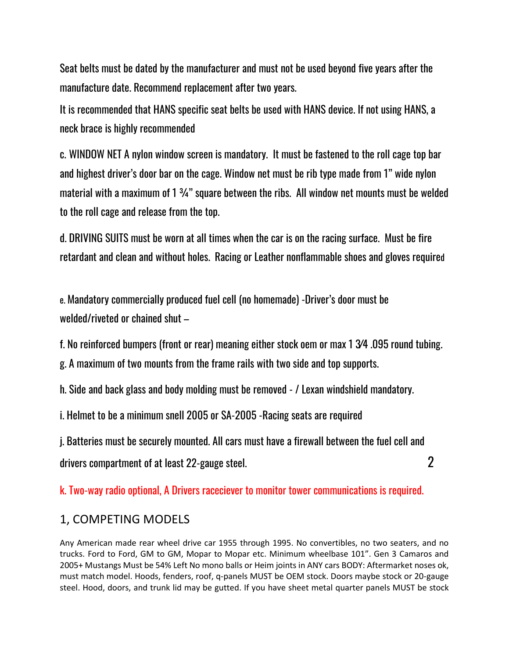Seat belts must be dated by the manufacturer and must not be used beyond five years after the manufacture date. Recommend replacement after two years.

It is recommended that HANS specific seat belts be used with HANS device. If not using HANS, a neck brace is highly recommended

c. WINDOW NET A nylon window screen is mandatory. It must be fastened to the roll cage top bar and highest driver's door bar on the cage. Window net must be rib type made from 1" wide nylon material with a maximum of 1 <sup>3</sup>/<sub>4</sub>" square between the ribs. All window net mounts must be welded to the roll cage and release from the top.

d. DRIVING SUITS must be worn at all times when the car is on the racing surface. Must be fire retardant and clean and without holes. Racing or Leather nonflammable shoes and gloves required

e. Mandatory commercially produced fuel cell (no homemade) -Driver's door must be welded/riveted or chained shut –

f. No reinforced bumpers (front or rear) meaning either stock oem or max 1 3⁄4 .095 round tubing.

g. A maximum of two mounts from the frame rails with two side and top supports.

h. Side and back glass and body molding must be removed - / Lexan windshield mandatory.

i. Helmet to be a minimum snell 2005 or SA-2005 -Racing seats are required

j. Batteries must be securely mounted. All cars must have a firewall between the fuel cell and drivers compartment of at least 22-gauge steel.  $\qquad \qquad \qquad 2$ 

k. Two-way radio optional, A Drivers raceciever to monitor tower communications is required.

# 1, COMPETING MODELS

Any American made rear wheel drive car 1955 through 1995. No convertibles, no two seaters, and no trucks. Ford to Ford, GM to GM, Mopar to Mopar etc. Minimum wheelbase 101". Gen 3 Camaros and 2005+ Mustangs Must be 54% Left No mono balls or Heim joints in ANY cars BODY: Aftermarket noses ok, must match model. Hoods, fenders, roof, q-panels MUST be OEM stock. Doors maybe stock or 20-gauge steel. Hood, doors, and trunk lid may be gutted. If you have sheet metal quarter panels MUST be stock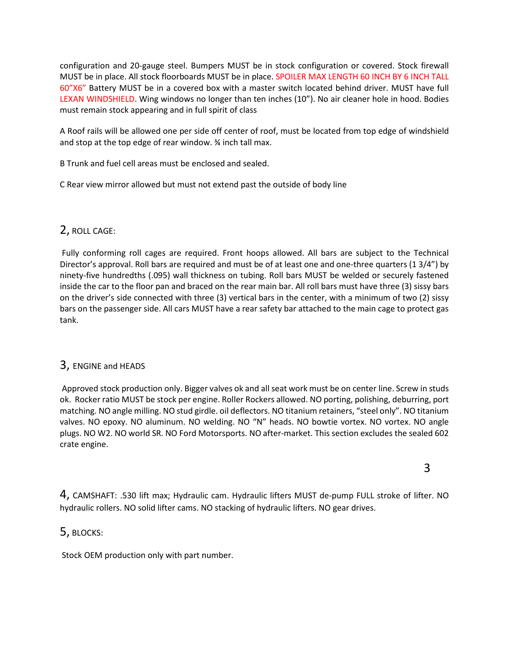configuration and 20-gauge steel. Bumpers MUST be in stock configuration or covered. Stock firewall MUST be in place. All stock floorboards MUST be in place. SPOILER MAX LENGTH 60 INCH BY 6 INCH TALL 60"X6" Battery MUST be in a covered box with a master switch located behind driver. MUST have full LEXAN WINDSHIELD. Wing windows no longer than ten inches (10"). No air cleaner hole in hood. Bodies must remain stock appearing and in full spirit of class

A Roof rails will be allowed one per side off center of roof, must be located from top edge of windshield and stop at the top edge of rear window. ¾ inch tall max.

B Trunk and fuel cell areas must be enclosed and sealed.

C Rear view mirror allowed but must not extend past the outside of body line

## 2, ROLL CAGE:

Fully conforming roll cages are required. Front hoops allowed. All bars are subject to the Technical Director's approval. Roll bars are required and must be of at least one and one-three quarters (1 3/4") by ninety-five hundredths (.095) wall thickness on tubing. Roll bars MUST be welded or securely fastened inside the car to the floor pan and braced on the rear main bar. All roll bars must have three (3) sissy bars on the driver's side connected with three (3) vertical bars in the center, with a minimum of two (2) sissy bars on the passenger side. All cars MUST have a rear safety bar attached to the main cage to protect gas tank.

## 3, ENGINE and HEADS

Approved stock production only. Bigger valves ok and all seat work must be on center line. Screw in studs ok. Rocker ratio MUST be stock per engine. Roller Rockers allowed. NO porting, polishing, deburring, port matching. NO angle milling. NO stud girdle. oil deflectors. NO titanium retainers, "steel only". NO titanium valves. NO epoxy. NO aluminum. NO welding. NO "N" heads. NO bowtie vortex. NO vortex. NO angle plugs. NO W2. NO world SR. NO Ford Motorsports. NO after-market. This section excludes the sealed 602 crate engine.

4, CAMSHAFT: .530 lift max; Hydraulic cam. Hydraulic lifters MUST de-pump FULL stroke of lifter. NO hydraulic rollers. NO solid lifter cams. NO stacking of hydraulic lifters. NO gear drives.

## 5, BLOCKS:

Stock OEM production only with part number.

 $\sim$  3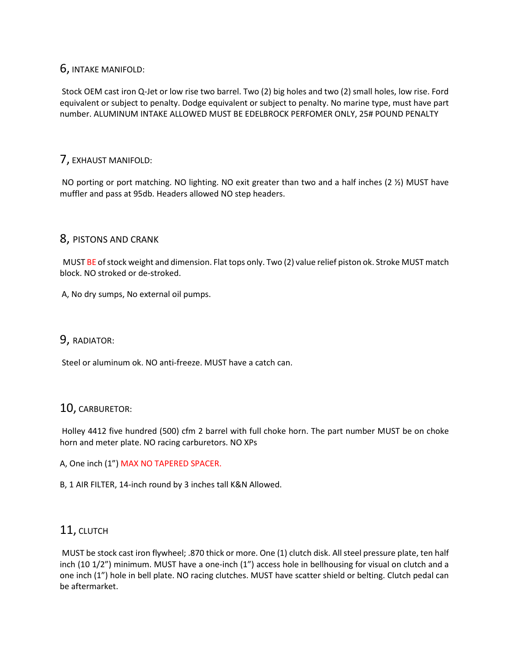## 6, INTAKE MANIFOLD:

Stock OEM cast iron Q-Jet or low rise two barrel. Two (2) big holes and two (2) small holes, low rise. Ford equivalent or subject to penalty. Dodge equivalent or subject to penalty. No marine type, must have part number. ALUMINUM INTAKE ALLOWED MUST BE EDELBROCK PERFOMER ONLY, 25# POUND PENALTY

## 7, EXHAUST MANIFOLD:

NO porting or port matching. NO lighting. NO exit greater than two and a half inches (2  $\frac{1}{2}$ ) MUST have muffler and pass at 95db. Headers allowed NO step headers.

## 8, PISTONS AND CRANK

MUST BE of stock weight and dimension. Flat tops only. Two (2) value relief piston ok. Stroke MUST match block. NO stroked or de-stroked.

A, No dry sumps, No external oil pumps.

## 9, RADIATOR:

Steel or aluminum ok. NO anti-freeze. MUST have a catch can.

## 10, CARBURETOR:

Holley 4412 five hundred (500) cfm 2 barrel with full choke horn. The part number MUST be on choke horn and meter plate. NO racing carburetors. NO XPs

A, One inch (1") MAX NO TAPERED SPACER.

B, 1 AIR FILTER, 14-inch round by 3 inches tall K&N Allowed.

## 11, CLUTCH

MUST be stock cast iron flywheel; .870 thick or more. One (1) clutch disk. All steel pressure plate, ten half inch (10 1/2") minimum. MUST have a one-inch (1") access hole in bellhousing for visual on clutch and a one inch (1") hole in bell plate. NO racing clutches. MUST have scatter shield or belting. Clutch pedal can be aftermarket.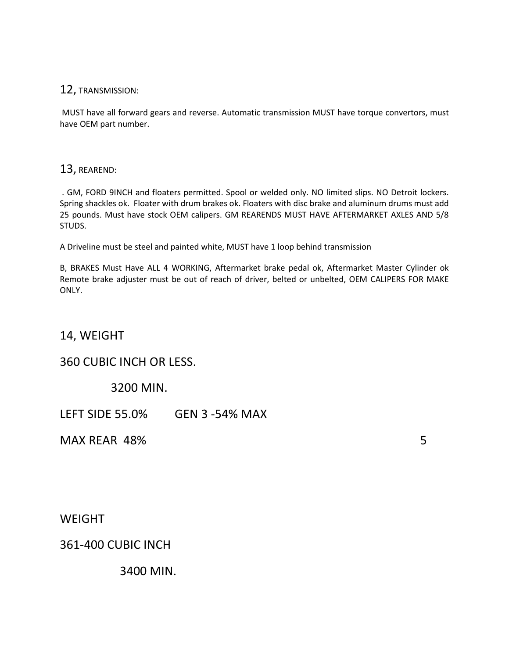## 12, TRANSMISSION:

MUST have all forward gears and reverse. Automatic transmission MUST have torque convertors, must have OEM part number.

## 13, REAREND:

. GM, FORD 9INCH and floaters permitted. Spool or welded only. NO limited slips. NO Detroit lockers. Spring shackles ok. Floater with drum brakes ok. Floaters with disc brake and aluminum drums must add 25 pounds. Must have stock OEM calipers. GM REARENDS MUST HAVE AFTERMARKET AXLES AND 5/8 STUDS.

A Driveline must be steel and painted white, MUST have 1 loop behind transmission

B, BRAKES Must Have ALL 4 WORKING, Aftermarket brake pedal ok, Aftermarket Master Cylinder ok Remote brake adjuster must be out of reach of driver, belted or unbelted, OEM CALIPERS FOR MAKE ONLY.

14, WEIGHT

# 360 CUBIC INCH OR LESS.

3200 MIN.

LEFT SIDE 55.0% GEN 3 -54% MAX

MAX RFAR 48% 5

WEIGHT

361-400 CUBIC INCH

3400 MIN.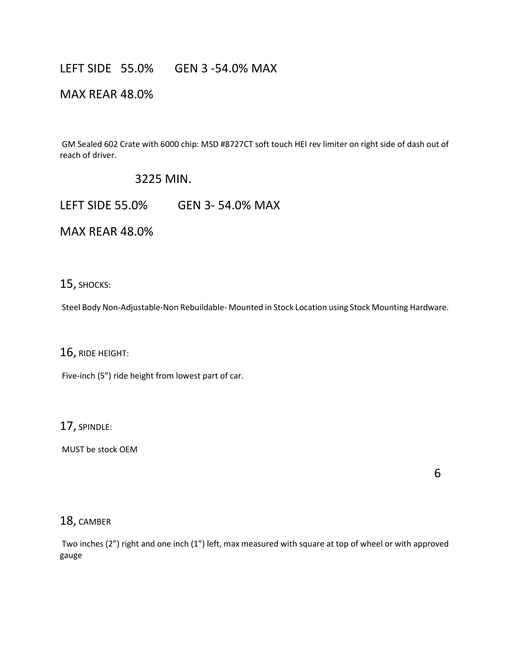# LEFT SIDE 55.0% GEN 3 -54.0% MAX

# MAX REAR 48.0%

GM Sealed 602 Crate with 6000 chip: MSD #8727CT soft touch HEI rev limiter on right side of dash out of reach of driver.

# 3225 MIN.

LEFT SIDE 55.0% GEN 3- 54.0% MAX

MAX REAR 48.0%

15, SHOCKS:

Steel Body Non-Adjustable-Non Rebuildable- Mounted in Stock Location using Stock Mounting Hardware.

16, RIDE HEIGHT:

Five-inch (5") ride height from lowest part of car.

17, SPINDLE:

MUST be stock OEM

 $\overline{6}$ 

## 18, CAMBER

Two inches (2") right and one inch (1") left, max measured with square at top of wheel or with approved gauge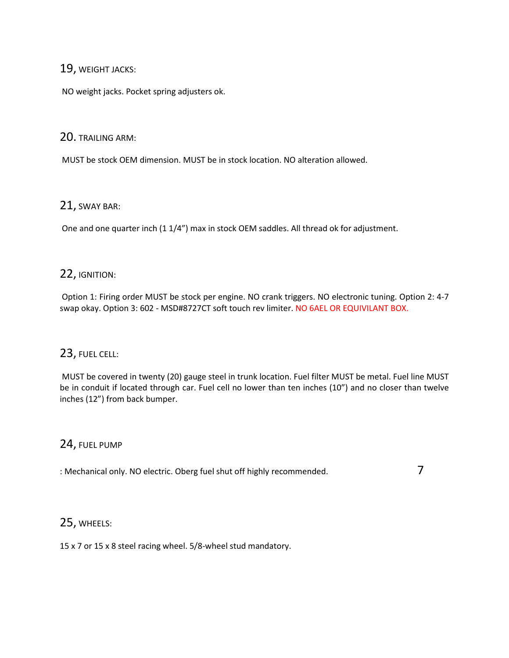## 19, WEIGHT JACKS:

NO weight jacks. Pocket spring adjusters ok.

## 20. TRAILING ARM:

MUST be stock OEM dimension. MUST be in stock location. NO alteration allowed.

## 21, SWAY BAR:

One and one quarter inch (1 1/4") max in stock OEM saddles. All thread ok for adjustment.

## 22, IGNITION:

Option 1: Firing order MUST be stock per engine. NO crank triggers. NO electronic tuning. Option 2: 4-7 swap okay. Option 3: 602 - MSD#8727CT soft touch rev limiter. NO 6AEL OR EQUIVILANT BOX.

# 23, FUEL CELL:

MUST be covered in twenty (20) gauge steel in trunk location. Fuel filter MUST be metal. Fuel line MUST be in conduit if located through car. Fuel cell no lower than ten inches (10") and no closer than twelve inches (12") from back bumper.

## 24, FUEL PUMP

: Mechanical only. NO electric. Oberg fuel shut off highly recommended. 7

# 25, WHEELS:

15 x 7 or 15 x 8 steel racing wheel. 5/8-wheel stud mandatory.